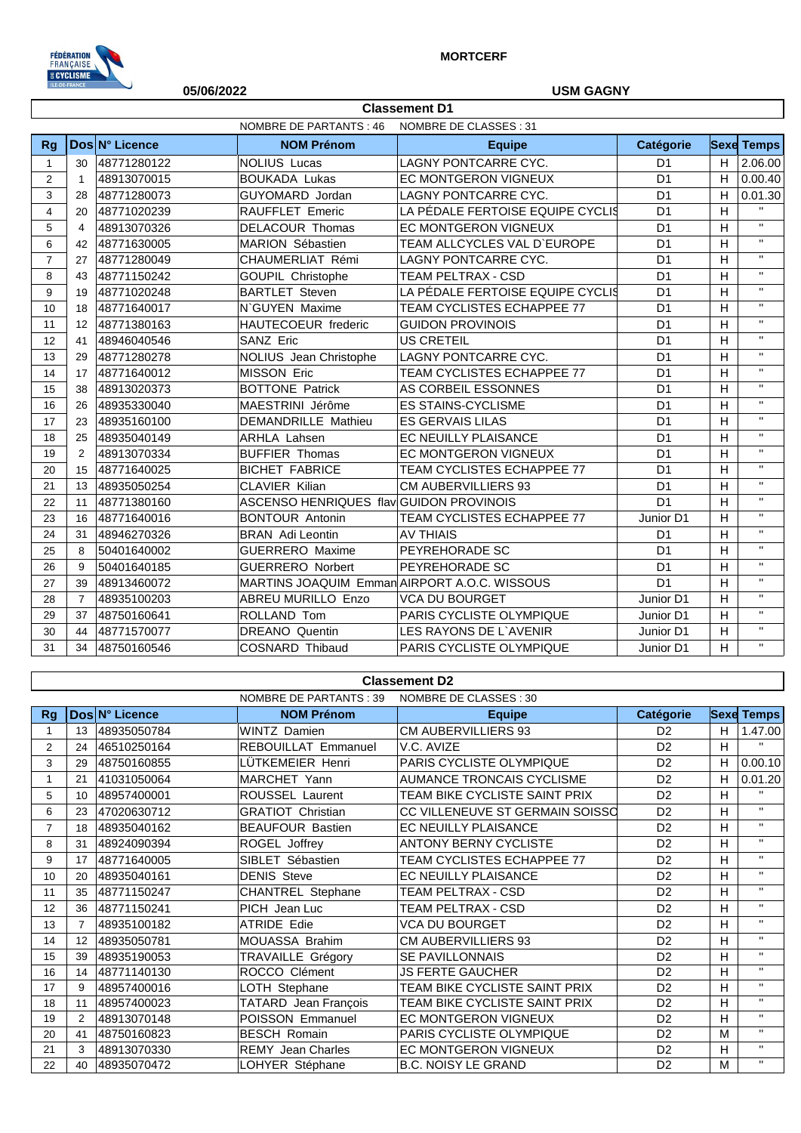

## **05/06/2022 USM GAGNY**

|                | <b>Classement D1</b>                                   |                |                                              |                                  |                |   |                   |  |  |
|----------------|--------------------------------------------------------|----------------|----------------------------------------------|----------------------------------|----------------|---|-------------------|--|--|
|                | <b>NOMBRE DE PARTANTS: 46</b><br>NOMBRE DE CLASSES: 31 |                |                                              |                                  |                |   |                   |  |  |
| <b>Rg</b>      |                                                        | Dos N° Licence | <b>NOM Prénom</b>                            | <b>Equipe</b>                    | Catégorie      |   | <b>Sexe Temps</b> |  |  |
| 1              | 30                                                     | 48771280122    | <b>NOLIUS Lucas</b>                          | <b>LAGNY PONTCARRE CYC.</b>      | D <sub>1</sub> | H | 2.06.00           |  |  |
| $\overline{2}$ | $\mathbf{1}$                                           | 48913070015    | <b>BOUKADA Lukas</b>                         | EC MONTGERON VIGNEUX             | D <sub>1</sub> | H | 0.00.40           |  |  |
| 3              | 28                                                     | 48771280073    | GUYOMARD Jordan                              | LAGNY PONTCARRE CYC.             | D <sub>1</sub> | H | 0.01.30           |  |  |
| $\overline{4}$ | 20                                                     | 48771020239    | RAUFFLET Emeric                              | LA PÉDALE FERTOISE EQUIPE CYCLIS | D <sub>1</sub> | H | $\mathbf{H}$      |  |  |
| 5              | $\overline{4}$                                         | 48913070326    | <b>DELACOUR Thomas</b>                       | EC MONTGERON VIGNEUX             | D <sub>1</sub> | H | $\mathbf{H}$      |  |  |
| 6              | 42                                                     | 48771630005    | MARION Sébastien                             | TEAM ALLCYCLES VAL D'EUROPE      | D <sub>1</sub> | H | $\mathbf{H}$      |  |  |
| $\overline{7}$ | 27                                                     | 48771280049    | CHAUMERLIAT Rémi                             | <b>LAGNY PONTCARRE CYC.</b>      | D <sub>1</sub> | H | $\mathbf{H}$      |  |  |
| 8              | 43                                                     | 48771150242    | GOUPIL Christophe                            | TEAM PELTRAX - CSD               | D <sub>1</sub> | H | $\mathbf{H}$      |  |  |
| 9              | 19                                                     | 48771020248    | <b>BARTLET Steven</b>                        | LA PÉDALE FERTOISE EQUIPE CYCLIS | D <sub>1</sub> | H | $\mathbf{H}$      |  |  |
| 10             | 18                                                     | 48771640017    | N'GUYEN Maxime                               | TEAM CYCLISTES ECHAPPEE 77       | D <sub>1</sub> | H | $\mathbf{H}$      |  |  |
| 11             | 12                                                     | 48771380163    | <b>HAUTECOEUR</b> frederic                   | <b>GUIDON PROVINOIS</b>          | D <sub>1</sub> | H | $\mathbf{H}$      |  |  |
| 12             | 41                                                     | 48946040546    | SANZ Eric                                    | <b>US CRETEIL</b>                | D <sub>1</sub> | H | $\mathbf{H}$      |  |  |
| 13             | 29                                                     | 48771280278    | NOLIUS Jean Christophe                       | LAGNY PONTCARRE CYC.             | D <sub>1</sub> | H | $\mathbf{H}$      |  |  |
| 14             | 17                                                     | 48771640012    | <b>MISSON Eric</b>                           | TEAM CYCLISTES ECHAPPEE 77       | D <sub>1</sub> | H | $\mathbf{H}$      |  |  |
| 15             | 38                                                     | 48913020373    | <b>BOTTONE Patrick</b>                       | AS CORBEIL ESSONNES              | D <sub>1</sub> | H | $\mathbf{H}$      |  |  |
| 16             | 26                                                     | 48935330040    | MAESTRINI Jérôme                             | <b>ES STAINS-CYCLISME</b>        | D <sub>1</sub> | H | $\mathbf{H}$      |  |  |
| 17             | 23                                                     | 48935160100    | <b>DEMANDRILLE Mathieu</b>                   | <b>ES GERVAIS LILAS</b>          | D <sub>1</sub> | H | $\mathbf{H}$      |  |  |
| 18             | 25                                                     | 48935040149    | <b>ARHLA Lahsen</b>                          | EC NEUILLY PLAISANCE             | D <sub>1</sub> | H | $\mathbf{H}$      |  |  |
| 19             | 2                                                      | 48913070334    | <b>BUFFIER Thomas</b>                        | <b>EC MONTGERON VIGNEUX</b>      | D <sub>1</sub> | H | $\mathbf{H}$      |  |  |
| 20             | 15                                                     | 48771640025    | <b>BICHET FABRICE</b>                        | TEAM CYCLISTES ECHAPPEE 77       | D <sub>1</sub> | H | $\mathbf{H}$      |  |  |
| 21             | 13                                                     | 48935050254    | <b>CLAVIER Kilian</b>                        | <b>CM AUBERVILLIERS 93</b>       | D <sub>1</sub> | H | $\mathbf{H}$      |  |  |
| 22             | 11                                                     | 48771380160    | ASCENSO HENRIQUES flav GUIDON PROVINOIS      |                                  | D <sub>1</sub> | H | $\mathbf{H}$      |  |  |
| 23             | 16                                                     | 48771640016    | <b>BONTOUR Antonin</b>                       | TEAM CYCLISTES ECHAPPEE 77       | Junior D1      | H | $\mathbf{H}$      |  |  |
| 24             | 31                                                     | 48946270326    | <b>BRAN</b> Adi Leontin                      | <b>AV THIAIS</b>                 | D <sub>1</sub> | H | $\mathbf{H}$      |  |  |
| 25             | 8                                                      | 50401640002    | <b>GUERRERO Maxime</b>                       | PEYREHORADE SC                   | D <sub>1</sub> | H | $\mathbf{H}$      |  |  |
| 26             | 9                                                      | 50401640185    | <b>GUERRERO Norbert</b>                      | PEYREHORADE SC                   | D <sub>1</sub> | H | $\mathbf{H}$      |  |  |
| 27             | 39                                                     | 48913460072    | MARTINS JOAQUIM Emman AIRPORT A.O.C. WISSOUS |                                  | D <sub>1</sub> | H | $\mathbf{H}$      |  |  |
| 28             | $\overline{7}$                                         | 48935100203    | ABREU MURILLO Enzo                           | <b>VCA DU BOURGET</b>            | Junior D1      | H | $\mathbf{H}$      |  |  |
| 29             | 37                                                     | 48750160641    | ROLLAND Tom                                  | PARIS CYCLISTE OLYMPIQUE         | Junior D1      | H | $\mathbf{H}$      |  |  |
| 30             | 44                                                     | 48771570077    | <b>DREANO</b> Quentin                        | LES RAYONS DE L'AVENIR           | Junior D1      | H | $\mathbf{H}$      |  |  |
| 31             | 34                                                     | 48750160546    | <b>COSNARD Thibaud</b>                       | PARIS CYCLISTE OLYMPIQUE         | Junior D1      | H | $\mathbf{H}$      |  |  |

#### **Classement D2**

|                |                 |                | NOMBRE DE PARTANTS : 39  | NOMBRE DE CLASSES : 30           |                  |   |                   |
|----------------|-----------------|----------------|--------------------------|----------------------------------|------------------|---|-------------------|
| Rg             |                 | Dos N° Licence | <b>NOM Prénom</b>        | <b>Equipe</b>                    | <b>Catégorie</b> |   | <b>Sexe Temps</b> |
|                | 13              | 48935050784    | <b>WINTZ Damien</b>      | <b>CM AUBERVILLIERS 93</b>       | D <sub>2</sub>   | H | 1.47.00           |
| $\overline{2}$ | 24              | 46510250164    | REBOUILLAT Emmanuel      | V.C. AVIZE                       | D <sub>2</sub>   | H | $\mathbf{H}$      |
| 3              | 29              | 48750160855    | LÜTKEMEIER Henri         | PARIS CYCLISTE OLYMPIQUE         | D <sub>2</sub>   | н | 0.00.10           |
|                | 21              | 41031050064    | MARCHET Yann             | <b>AUMANCE TRONCAIS CYCLISME</b> | D <sub>2</sub>   | н | 0.01.20           |
| 5              | 10 <sup>1</sup> | 48957400001    | ROUSSEL Laurent          | TEAM BIKE CYCLISTE SAINT PRIX    | D <sub>2</sub>   | н | $\mathbf{H}$      |
| 6              | 23              | 47020630712    | <b>GRATIOT Christian</b> | CC VILLENEUVE ST GERMAIN SOISSO  | D <sub>2</sub>   | н | $\mathbf{H}$      |
|                | 18              | 48935040162    | <b>BEAUFOUR Bastien</b>  | EC NEUILLY PLAISANCE             | D <sub>2</sub>   | H | $\mathbf{H}$      |
| 8              | 31              | 48924090394    | ROGEL Joffrey            | <b>ANTONY BERNY CYCLISTE</b>     | D <sub>2</sub>   | H | $\mathbf{H}$      |
| 9              | 17              | 48771640005    | SIBLET Sébastien         | TEAM CYCLISTES ECHAPPEE 77       | D <sub>2</sub>   | н | $\mathbf{H}$      |
| 10             | 20              | 48935040161    | <b>DENIS Steve</b>       | EC NEUILLY PLAISANCE             | D <sub>2</sub>   | н | $\mathbf{H}$      |
| 11             | 35              | 48771150247    | CHANTREL Stephane        | TEAM PELTRAX - CSD               | D <sub>2</sub>   | н | $\mathbf{H}$      |
| 12             | 36              | 48771150241    | PICH Jean Luc            | <b>TEAM PELTRAX - CSD</b>        | D <sub>2</sub>   | н | $\mathbf{H}$      |
| 13             | 7               | 48935100182    | <b>ATRIDE Edie</b>       | <b>VCA DU BOURGET</b>            | D <sub>2</sub>   | H | $\mathbf{H}$      |
| 14             | 12              | 48935050781    | <b>MOUASSA Brahim</b>    | <b>CM AUBERVILLIERS 93</b>       | D <sub>2</sub>   | H | $\mathbf{H}$      |
| 15             | 39              | 48935190053    | TRAVAILLE Grégory        | <b>SE PAVILLONNAIS</b>           | D <sub>2</sub>   | н | $\mathbf{H}$      |
| 16             | 14              | 48771140130    | ROCCO Clément            | <b>JS FERTE GAUCHER</b>          | D <sub>2</sub>   | н | $\mathbf{H}$      |
| 17             | 9               | 48957400016    | LOTH Stephane            | TEAM BIKE CYCLISTE SAINT PRIX    | D <sub>2</sub>   | н | $\mathbf{H}$      |
| 18             | 11              | 48957400023    | TATARD Jean François     | TEAM BIKE CYCLISTE SAINT PRIX    | D <sub>2</sub>   | н | $\mathbf{H}$      |
| 19             | $\overline{2}$  | 48913070148    | POISSON Emmanuel         | EC MONTGERON VIGNEUX             | D <sub>2</sub>   | н | $\mathbf{H}$      |
| 20             | 41              | 48750160823    | <b>BESCH Romain</b>      | PARIS CYCLISTE OLYMPIQUE         | D <sub>2</sub>   | M | $\mathbf{H}$      |
| 21             | 3               | 48913070330    | REMY Jean Charles        | EC MONTGERON VIGNEUX             | D <sub>2</sub>   | н | $\mathbf{H}$      |
| 22             | 40              | 48935070472    | LOHYER Stéphane          | <b>B.C. NOISY LE GRAND</b>       | D <sub>2</sub>   | M | $\mathbf{H}$      |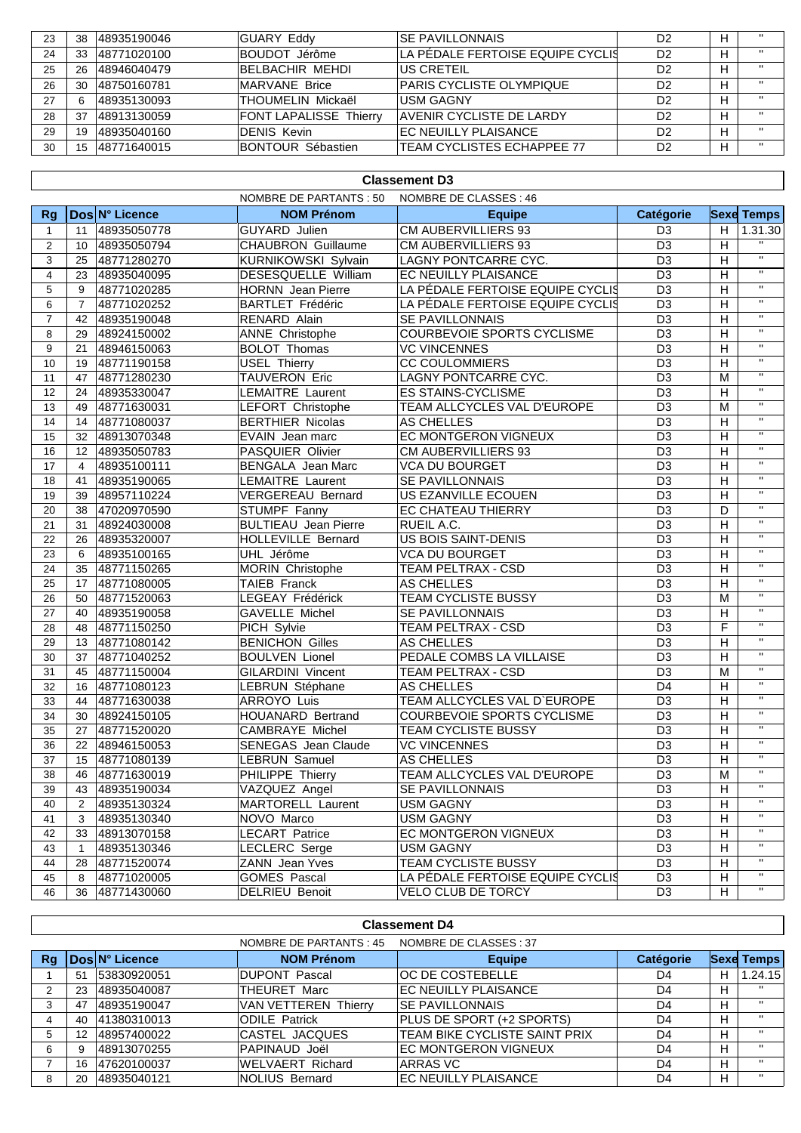| 23 | 38 | 48935190046  | <b>GUARY Eddy</b>             | ISE PAVILLONNAIS                  | D <sub>2</sub> | $^{\prime\prime}$ |
|----|----|--------------|-------------------------------|-----------------------------------|----------------|-------------------|
| 24 | 33 | 148771020100 | BOUDOT Jérôme                 | LA PÉDALE FERTOISE EQUIPE CYCLIS  | D <sub>2</sub> | $\mathbf{u}$      |
| 25 | 26 | 48946040479  | BELBACHIR MEHDI               | <b>US CRETEIL</b>                 | D <sub>2</sub> | $\mathbf{u}$      |
| 26 | 30 | 48750160781  | MARVANE Brice                 | PARIS CYCLISTE OLYMPIQUE          | D <sub>2</sub> | $\mathbf{u}$      |
| 27 |    | 48935130093  | ITHOUMELIN Mickaël            | <b>USM GAGNY</b>                  | D <sub>2</sub> | $\mathbf{u}$      |
| 28 | 37 | 48913130059  | <b>FONT LAPALISSE Thierry</b> | AVENIR CYCLISTE DE LARDY          | D <sub>2</sub> | $\mathbf{u}$      |
| 29 | 19 | 48935040160  | <b>DENIS Kevin</b>            | <b>EC NEUILLY PLAISANCE</b>       | D <sub>2</sub> | $\mathbf{u}$      |
| 30 | 15 | 48771640015  | BONTOUR Sébastien             | <b>TEAM CYCLISTES ECHAPPEE 77</b> | D2             | $\mathbf{u}$      |

### **Classement D3**

| Dos N° Licence<br><b>NOM Prénom</b><br><b>Catégorie</b><br><b>Sexe Temps</b><br><b>Equipe</b><br>Rg<br><b>CM AUBERVILLIERS 93</b><br>GUYARD Julien<br>H<br>1.31.30<br>$\mathbf{1}$<br>48935050778<br>D <sub>3</sub><br>11<br>$\mathbf{u}$<br><b>CHAUBRON Guillaume</b><br><b>CM AUBERVILLIERS 93</b><br>D <sub>3</sub><br>H<br>10 48935050794<br>2<br>$\overline{u}$<br>$\overline{D3}$<br>$\mathbf{3}$<br>KURNIKOWSKI Sylvain<br>LAGNY PONTCARRE CYC.<br>H<br>48771280270<br>25<br>$\overline{\mathbf{u}}$<br>$\overline{4}$<br>DESESQUELLE William<br>EC NEUILLY PLAISANCE<br>D <sub>3</sub><br>H<br>23<br>48935040095<br>$\mathbf{H}$<br>5<br>LA PÉDALE FERTOISE EQUIPE CYCLIS<br>D <sub>3</sub><br>9<br>48771020285<br><b>HORNN</b> Jean Pierre<br>H<br>$\overline{\mathbf{u}}$<br>$\overline{D3}$<br>$\overline{H}$<br>6<br>LA PÉDALE FERTOISE EQUIPE CYCLIS<br>$\overline{7}$<br>48771020252<br><b>BARTLET Frédéric</b><br>$\overline{\mathbf{u}}$<br>$\overline{D3}$<br>$\overline{7}$<br>RENARD Alain<br>H<br>42<br>48935190048<br>SE PAVILLONNAIS<br>$\overline{\mathbf{u}}$<br><b>ANNE</b> Christophe<br>COURBEVOIE SPORTS CYCLISME<br>D <sub>3</sub><br>H<br>8<br>29<br>48924150002<br>$\mathbf{H}$<br>D <sub>3</sub><br>H<br>9<br><b>BOLOT Thomas</b><br><b>VC VINCENNES</b><br>21<br>48946150063<br>$\overline{\mathbf{u}}$<br>$\overline{D3}$<br>10<br>48771190158<br><b>USEL Thierry</b><br><b>CC COULOMMIERS</b><br>H<br>19<br>$\mathbf{H}$<br><b>TAUVERON Eric</b><br>48771280230<br>LAGNY PONTCARRE CYC.<br>D <sub>3</sub><br>11<br>47<br>M<br>$\mathbf{H}$<br>12<br><b>LEMAITRE Laurent</b><br>D <sub>3</sub><br>H<br>24<br><b>ES STAINS-CYCLISME</b><br>48935330047<br>$\overline{\mathbf{u}}$<br>$\overline{D3}$<br>13<br>48771630031<br>TEAM ALLCYCLES VAL D'EUROPE<br>49<br>LEFORT Christophe<br>M<br>$\overline{\mathbf{u}}$<br>14<br><b>BERTHIER Nicolas</b><br>AS CHELLES<br>D <sub>3</sub><br>H<br>14<br>48771080037<br>$\overline{\mathbf{u}}$<br>15<br>48913070348<br>EC MONTGERON VIGNEUX<br>D <sub>3</sub><br>H<br>32<br>EVAIN Jean marc<br>$\mathbf{H}$<br>16<br>48935050783<br>PASQUIER Olivier<br><b>CM AUBERVILLIERS 93</b><br>D <sub>3</sub><br>H<br>12 <sup>2</sup><br>$\overline{u}$<br>D3<br>H<br>17<br>48935100111<br>BENGALA Jean Marc<br><b>VCA DU BOURGET</b><br>$\overline{4}$<br>$\mathbf{u}$<br>$\overline{D3}$<br>48935190065<br><b>SE PAVILLONNAIS</b><br>18<br>LEMAITRE Laurent<br>H<br>41<br>$\mathbf{H}$<br>19<br><b>VERGEREAU Bernard</b><br>US EZANVILLE ECOUEN<br>D <sub>3</sub><br>H<br>39<br>48957110224<br>$\overline{\mathbf{u}}$<br>$\overline{D3}$<br>STUMPF Fanny<br>EC CHATEAU THIERRY<br>D<br>20<br>38<br>47020970590<br>$\overline{\mathbf{u}}$<br>21<br>31<br><b>BULTIEAU</b> Jean Pierre<br>RUEIL A.C.<br>D <sub>3</sub><br>48924030008<br>H<br>$\mathbf{H}$<br><b>US BOIS SAINT-DENIS</b><br>22<br>HOLLEVILLE Bernard<br>D <sub>3</sub><br>H<br>48935320007<br>26<br>$\mathbf{H}$<br>23<br>VCA DU BOURGET<br>D <sub>3</sub><br>H<br>48935100165<br>UHL Jérôme<br>6<br>$\overline{\mathbf{u}}$<br>$\overline{D3}$<br>H<br>24<br>35<br>48771150265<br>MORIN Christophe<br>TEAM PELTRAX - CSD<br>$\overline{u}$<br>$\overline{H}$<br><b>TAIEB Franck</b><br><b>AS CHELLES</b><br>$\overline{D3}$<br>48771080005<br>25<br>17<br>$\mathbf{H}$<br>LEGEAY Frédérick<br>TEAM CYCLISTE BUSSY<br>D <sub>3</sub><br>M<br>26<br>50<br>48771520063<br>$\mathbf{H}$<br>27<br><b>GAVELLE Michel</b><br>D <sub>3</sub><br>40<br>48935190058<br>SE PAVILLONNAIS<br>H<br>$\mathbf{H}$<br>F<br>PICH Sylvie<br>D <sub>3</sub><br>28<br>48771150250<br>TEAM PELTRAX - CSD<br>48<br>$\mathbf{H}$<br>29<br><b>BENICHON Gilles</b><br>D <sub>3</sub><br>H<br>13<br>48771080142<br>AS CHELLES<br>$\overline{\mathbf{u}}$<br>30<br><b>BOULVEN Lionel</b><br>PEDALE COMBS LA VILLAISE<br>D <sub>3</sub><br>$\boldsymbol{\mathsf{H}}$<br>37<br>48771040252<br>$\overline{u}$<br>D <sub>3</sub><br>48771150004<br><b>GILARDINI Vincent</b><br>TEAM PELTRAX - CSD<br>M<br>31<br>45<br>$\mathbf{H}$<br>D <sub>4</sub><br>32<br>48771080123<br>LEBRUN Stéphane<br>AS CHELLES<br>H<br>16<br>$\mathbf{H}$<br><b>ARROYO Luis</b><br>TEAM ALLCYCLES VAL D'EUROPE<br>$\overline{D3}$<br>48771630038<br>H<br>33<br>44<br>$\overline{\mathbf{u}}$<br>$\overline{D3}$<br>34<br>H<br>30<br>48924150105<br>HOUANARD Bertrand<br>COURBEVOIE SPORTS CYCLISME<br>$\mathbf{H}$<br>$\overline{D3}$<br>35<br><b>CAMBRAYE Michel</b><br>TEAM CYCLISTE BUSSY<br>27<br>48771520020<br>H<br>$\overline{\mathbf{u}}$<br>36<br><b>VC VINCENNES</b><br>D <sub>3</sub><br>H<br>22<br>48946150053<br><b>SENEGAS</b> Jean Claude<br>$\overline{\mathbf{u}}$<br>37<br>LEBRUN Samuel<br>D <sub>3</sub><br>H<br>15<br>48771080139<br>AS CHELLES<br>$\mathbf{H}$<br>38<br>TEAM ALLCYCLES VAL D'EUROPE<br>D <sub>3</sub><br>46<br>48771630019<br>PHILIPPE Thierry<br>М<br>$\mathbf{u}$<br>VAZQUEZ Angel<br>SE PAVILLONNAIS<br>D <sub>3</sub><br>H<br>39<br>43 48935190034<br>$\mathbf{H}$<br>MARTORELL Laurent<br><b>USM GAGNY</b><br>H<br>48935130324<br>D <sub>3</sub><br>40<br>$\overline{2}$<br>$\mathbf{H}$<br>D <sub>3</sub><br>$\boldsymbol{\mathsf{H}}$<br>48935130340<br>NOVO Marco<br><b>USM GAGNY</b><br>41<br>3<br>$\mathbf{H}$<br><b>LECART Patrice</b><br>EC MONTGERON VIGNEUX<br>D <sub>3</sub><br>$\boldsymbol{\mathsf{H}}$<br>42<br>33<br>48913070158<br>$\mathbf{H}$<br>43<br>LECLERC Serge<br><b>USM GAGNY</b><br>D <sub>3</sub><br>H<br>48935130346<br>$\mathbf{1}$<br>$\mathbf H$<br>ZANN Jean Yves<br><b>TEAM CYCLISTE BUSSY</b><br>D <sub>3</sub><br>44<br>48771520074<br>H<br>28<br>$\mathbf{H}$<br><b>GOMES Pascal</b><br>LA PÉDALE FERTOISE EQUIPE CYCLIS<br>D <sub>3</sub><br>H<br>45<br>48771020005<br>8<br>$\mathbf{H}$<br>D <sub>3</sub><br>48771430060<br>DELRIEU Benoit<br>VELO CLUB DE TORCY<br>H<br>46<br>36 |  | NOMBRE DE PARTANTS : 50 | NOMBRE DE CLASSES : 46 |  |  |
|----------------------------------------------------------------------------------------------------------------------------------------------------------------------------------------------------------------------------------------------------------------------------------------------------------------------------------------------------------------------------------------------------------------------------------------------------------------------------------------------------------------------------------------------------------------------------------------------------------------------------------------------------------------------------------------------------------------------------------------------------------------------------------------------------------------------------------------------------------------------------------------------------------------------------------------------------------------------------------------------------------------------------------------------------------------------------------------------------------------------------------------------------------------------------------------------------------------------------------------------------------------------------------------------------------------------------------------------------------------------------------------------------------------------------------------------------------------------------------------------------------------------------------------------------------------------------------------------------------------------------------------------------------------------------------------------------------------------------------------------------------------------------------------------------------------------------------------------------------------------------------------------------------------------------------------------------------------------------------------------------------------------------------------------------------------------------------------------------------------------------------------------------------------------------------------------------------------------------------------------------------------------------------------------------------------------------------------------------------------------------------------------------------------------------------------------------------------------------------------------------------------------------------------------------------------------------------------------------------------------------------------------------------------------------------------------------------------------------------------------------------------------------------------------------------------------------------------------------------------------------------------------------------------------------------------------------------------------------------------------------------------------------------------------------------------------------------------------------------------------------------------------------------------------------------------------------------------------------------------------------------------------------------------------------------------------------------------------------------------------------------------------------------------------------------------------------------------------------------------------------------------------------------------------------------------------------------------------------------------------------------------------------------------------------------------------------------------------------------------------------------------------------------------------------------------------------------------------------------------------------------------------------------------------------------------------------------------------------------------------------------------------------------------------------------------------------------------------------------------------------------------------------------------------------------------------------------------------------------------------------------------------------------------------------------------------------------------------------------------------------------------------------------------------------------------------------------------------------------------------------------------------------------------------------------------------------------------------------------------------------------------------------------------------------------------------------------------------------------------------------------------------------------------------------------------------------------------------------------------------------------------------------------------------------------------------------------------------------------------------------------------------------------------------------------------------------------------------------------------------------------------------------------------------------------------------------------------------------------------------------------------------------------------------------------------------------------------------------------------------------------------------------------------------------------------------------------------------------------------------------------------------------------------------------------------------------------------------------------------------------------------------------------------------------------------------------------------------------------------------------------------------------------------------------------------------------------------------------|--|-------------------------|------------------------|--|--|
|                                                                                                                                                                                                                                                                                                                                                                                                                                                                                                                                                                                                                                                                                                                                                                                                                                                                                                                                                                                                                                                                                                                                                                                                                                                                                                                                                                                                                                                                                                                                                                                                                                                                                                                                                                                                                                                                                                                                                                                                                                                                                                                                                                                                                                                                                                                                                                                                                                                                                                                                                                                                                                                                                                                                                                                                                                                                                                                                                                                                                                                                                                                                                                                                                                                                                                                                                                                                                                                                                                                                                                                                                                                                                                                                                                                                                                                                                                                                                                                                                                                                                                                                                                                                                                                                                                                                                                                                                                                                                                                                                                                                                                                                                                                                                                                                                                                                                                                                                                                                                                                                                                                                                                                                                                                                                                                                                                                                                                                                                                                                                                                                                                                                                                                                                                                                                                                    |  |                         |                        |  |  |
|                                                                                                                                                                                                                                                                                                                                                                                                                                                                                                                                                                                                                                                                                                                                                                                                                                                                                                                                                                                                                                                                                                                                                                                                                                                                                                                                                                                                                                                                                                                                                                                                                                                                                                                                                                                                                                                                                                                                                                                                                                                                                                                                                                                                                                                                                                                                                                                                                                                                                                                                                                                                                                                                                                                                                                                                                                                                                                                                                                                                                                                                                                                                                                                                                                                                                                                                                                                                                                                                                                                                                                                                                                                                                                                                                                                                                                                                                                                                                                                                                                                                                                                                                                                                                                                                                                                                                                                                                                                                                                                                                                                                                                                                                                                                                                                                                                                                                                                                                                                                                                                                                                                                                                                                                                                                                                                                                                                                                                                                                                                                                                                                                                                                                                                                                                                                                                                    |  |                         |                        |  |  |
|                                                                                                                                                                                                                                                                                                                                                                                                                                                                                                                                                                                                                                                                                                                                                                                                                                                                                                                                                                                                                                                                                                                                                                                                                                                                                                                                                                                                                                                                                                                                                                                                                                                                                                                                                                                                                                                                                                                                                                                                                                                                                                                                                                                                                                                                                                                                                                                                                                                                                                                                                                                                                                                                                                                                                                                                                                                                                                                                                                                                                                                                                                                                                                                                                                                                                                                                                                                                                                                                                                                                                                                                                                                                                                                                                                                                                                                                                                                                                                                                                                                                                                                                                                                                                                                                                                                                                                                                                                                                                                                                                                                                                                                                                                                                                                                                                                                                                                                                                                                                                                                                                                                                                                                                                                                                                                                                                                                                                                                                                                                                                                                                                                                                                                                                                                                                                                                    |  |                         |                        |  |  |
|                                                                                                                                                                                                                                                                                                                                                                                                                                                                                                                                                                                                                                                                                                                                                                                                                                                                                                                                                                                                                                                                                                                                                                                                                                                                                                                                                                                                                                                                                                                                                                                                                                                                                                                                                                                                                                                                                                                                                                                                                                                                                                                                                                                                                                                                                                                                                                                                                                                                                                                                                                                                                                                                                                                                                                                                                                                                                                                                                                                                                                                                                                                                                                                                                                                                                                                                                                                                                                                                                                                                                                                                                                                                                                                                                                                                                                                                                                                                                                                                                                                                                                                                                                                                                                                                                                                                                                                                                                                                                                                                                                                                                                                                                                                                                                                                                                                                                                                                                                                                                                                                                                                                                                                                                                                                                                                                                                                                                                                                                                                                                                                                                                                                                                                                                                                                                                                    |  |                         |                        |  |  |
|                                                                                                                                                                                                                                                                                                                                                                                                                                                                                                                                                                                                                                                                                                                                                                                                                                                                                                                                                                                                                                                                                                                                                                                                                                                                                                                                                                                                                                                                                                                                                                                                                                                                                                                                                                                                                                                                                                                                                                                                                                                                                                                                                                                                                                                                                                                                                                                                                                                                                                                                                                                                                                                                                                                                                                                                                                                                                                                                                                                                                                                                                                                                                                                                                                                                                                                                                                                                                                                                                                                                                                                                                                                                                                                                                                                                                                                                                                                                                                                                                                                                                                                                                                                                                                                                                                                                                                                                                                                                                                                                                                                                                                                                                                                                                                                                                                                                                                                                                                                                                                                                                                                                                                                                                                                                                                                                                                                                                                                                                                                                                                                                                                                                                                                                                                                                                                                    |  |                         |                        |  |  |
|                                                                                                                                                                                                                                                                                                                                                                                                                                                                                                                                                                                                                                                                                                                                                                                                                                                                                                                                                                                                                                                                                                                                                                                                                                                                                                                                                                                                                                                                                                                                                                                                                                                                                                                                                                                                                                                                                                                                                                                                                                                                                                                                                                                                                                                                                                                                                                                                                                                                                                                                                                                                                                                                                                                                                                                                                                                                                                                                                                                                                                                                                                                                                                                                                                                                                                                                                                                                                                                                                                                                                                                                                                                                                                                                                                                                                                                                                                                                                                                                                                                                                                                                                                                                                                                                                                                                                                                                                                                                                                                                                                                                                                                                                                                                                                                                                                                                                                                                                                                                                                                                                                                                                                                                                                                                                                                                                                                                                                                                                                                                                                                                                                                                                                                                                                                                                                                    |  |                         |                        |  |  |
|                                                                                                                                                                                                                                                                                                                                                                                                                                                                                                                                                                                                                                                                                                                                                                                                                                                                                                                                                                                                                                                                                                                                                                                                                                                                                                                                                                                                                                                                                                                                                                                                                                                                                                                                                                                                                                                                                                                                                                                                                                                                                                                                                                                                                                                                                                                                                                                                                                                                                                                                                                                                                                                                                                                                                                                                                                                                                                                                                                                                                                                                                                                                                                                                                                                                                                                                                                                                                                                                                                                                                                                                                                                                                                                                                                                                                                                                                                                                                                                                                                                                                                                                                                                                                                                                                                                                                                                                                                                                                                                                                                                                                                                                                                                                                                                                                                                                                                                                                                                                                                                                                                                                                                                                                                                                                                                                                                                                                                                                                                                                                                                                                                                                                                                                                                                                                                                    |  |                         |                        |  |  |
|                                                                                                                                                                                                                                                                                                                                                                                                                                                                                                                                                                                                                                                                                                                                                                                                                                                                                                                                                                                                                                                                                                                                                                                                                                                                                                                                                                                                                                                                                                                                                                                                                                                                                                                                                                                                                                                                                                                                                                                                                                                                                                                                                                                                                                                                                                                                                                                                                                                                                                                                                                                                                                                                                                                                                                                                                                                                                                                                                                                                                                                                                                                                                                                                                                                                                                                                                                                                                                                                                                                                                                                                                                                                                                                                                                                                                                                                                                                                                                                                                                                                                                                                                                                                                                                                                                                                                                                                                                                                                                                                                                                                                                                                                                                                                                                                                                                                                                                                                                                                                                                                                                                                                                                                                                                                                                                                                                                                                                                                                                                                                                                                                                                                                                                                                                                                                                                    |  |                         |                        |  |  |
|                                                                                                                                                                                                                                                                                                                                                                                                                                                                                                                                                                                                                                                                                                                                                                                                                                                                                                                                                                                                                                                                                                                                                                                                                                                                                                                                                                                                                                                                                                                                                                                                                                                                                                                                                                                                                                                                                                                                                                                                                                                                                                                                                                                                                                                                                                                                                                                                                                                                                                                                                                                                                                                                                                                                                                                                                                                                                                                                                                                                                                                                                                                                                                                                                                                                                                                                                                                                                                                                                                                                                                                                                                                                                                                                                                                                                                                                                                                                                                                                                                                                                                                                                                                                                                                                                                                                                                                                                                                                                                                                                                                                                                                                                                                                                                                                                                                                                                                                                                                                                                                                                                                                                                                                                                                                                                                                                                                                                                                                                                                                                                                                                                                                                                                                                                                                                                                    |  |                         |                        |  |  |
|                                                                                                                                                                                                                                                                                                                                                                                                                                                                                                                                                                                                                                                                                                                                                                                                                                                                                                                                                                                                                                                                                                                                                                                                                                                                                                                                                                                                                                                                                                                                                                                                                                                                                                                                                                                                                                                                                                                                                                                                                                                                                                                                                                                                                                                                                                                                                                                                                                                                                                                                                                                                                                                                                                                                                                                                                                                                                                                                                                                                                                                                                                                                                                                                                                                                                                                                                                                                                                                                                                                                                                                                                                                                                                                                                                                                                                                                                                                                                                                                                                                                                                                                                                                                                                                                                                                                                                                                                                                                                                                                                                                                                                                                                                                                                                                                                                                                                                                                                                                                                                                                                                                                                                                                                                                                                                                                                                                                                                                                                                                                                                                                                                                                                                                                                                                                                                                    |  |                         |                        |  |  |
|                                                                                                                                                                                                                                                                                                                                                                                                                                                                                                                                                                                                                                                                                                                                                                                                                                                                                                                                                                                                                                                                                                                                                                                                                                                                                                                                                                                                                                                                                                                                                                                                                                                                                                                                                                                                                                                                                                                                                                                                                                                                                                                                                                                                                                                                                                                                                                                                                                                                                                                                                                                                                                                                                                                                                                                                                                                                                                                                                                                                                                                                                                                                                                                                                                                                                                                                                                                                                                                                                                                                                                                                                                                                                                                                                                                                                                                                                                                                                                                                                                                                                                                                                                                                                                                                                                                                                                                                                                                                                                                                                                                                                                                                                                                                                                                                                                                                                                                                                                                                                                                                                                                                                                                                                                                                                                                                                                                                                                                                                                                                                                                                                                                                                                                                                                                                                                                    |  |                         |                        |  |  |
|                                                                                                                                                                                                                                                                                                                                                                                                                                                                                                                                                                                                                                                                                                                                                                                                                                                                                                                                                                                                                                                                                                                                                                                                                                                                                                                                                                                                                                                                                                                                                                                                                                                                                                                                                                                                                                                                                                                                                                                                                                                                                                                                                                                                                                                                                                                                                                                                                                                                                                                                                                                                                                                                                                                                                                                                                                                                                                                                                                                                                                                                                                                                                                                                                                                                                                                                                                                                                                                                                                                                                                                                                                                                                                                                                                                                                                                                                                                                                                                                                                                                                                                                                                                                                                                                                                                                                                                                                                                                                                                                                                                                                                                                                                                                                                                                                                                                                                                                                                                                                                                                                                                                                                                                                                                                                                                                                                                                                                                                                                                                                                                                                                                                                                                                                                                                                                                    |  |                         |                        |  |  |
|                                                                                                                                                                                                                                                                                                                                                                                                                                                                                                                                                                                                                                                                                                                                                                                                                                                                                                                                                                                                                                                                                                                                                                                                                                                                                                                                                                                                                                                                                                                                                                                                                                                                                                                                                                                                                                                                                                                                                                                                                                                                                                                                                                                                                                                                                                                                                                                                                                                                                                                                                                                                                                                                                                                                                                                                                                                                                                                                                                                                                                                                                                                                                                                                                                                                                                                                                                                                                                                                                                                                                                                                                                                                                                                                                                                                                                                                                                                                                                                                                                                                                                                                                                                                                                                                                                                                                                                                                                                                                                                                                                                                                                                                                                                                                                                                                                                                                                                                                                                                                                                                                                                                                                                                                                                                                                                                                                                                                                                                                                                                                                                                                                                                                                                                                                                                                                                    |  |                         |                        |  |  |
|                                                                                                                                                                                                                                                                                                                                                                                                                                                                                                                                                                                                                                                                                                                                                                                                                                                                                                                                                                                                                                                                                                                                                                                                                                                                                                                                                                                                                                                                                                                                                                                                                                                                                                                                                                                                                                                                                                                                                                                                                                                                                                                                                                                                                                                                                                                                                                                                                                                                                                                                                                                                                                                                                                                                                                                                                                                                                                                                                                                                                                                                                                                                                                                                                                                                                                                                                                                                                                                                                                                                                                                                                                                                                                                                                                                                                                                                                                                                                                                                                                                                                                                                                                                                                                                                                                                                                                                                                                                                                                                                                                                                                                                                                                                                                                                                                                                                                                                                                                                                                                                                                                                                                                                                                                                                                                                                                                                                                                                                                                                                                                                                                                                                                                                                                                                                                                                    |  |                         |                        |  |  |
|                                                                                                                                                                                                                                                                                                                                                                                                                                                                                                                                                                                                                                                                                                                                                                                                                                                                                                                                                                                                                                                                                                                                                                                                                                                                                                                                                                                                                                                                                                                                                                                                                                                                                                                                                                                                                                                                                                                                                                                                                                                                                                                                                                                                                                                                                                                                                                                                                                                                                                                                                                                                                                                                                                                                                                                                                                                                                                                                                                                                                                                                                                                                                                                                                                                                                                                                                                                                                                                                                                                                                                                                                                                                                                                                                                                                                                                                                                                                                                                                                                                                                                                                                                                                                                                                                                                                                                                                                                                                                                                                                                                                                                                                                                                                                                                                                                                                                                                                                                                                                                                                                                                                                                                                                                                                                                                                                                                                                                                                                                                                                                                                                                                                                                                                                                                                                                                    |  |                         |                        |  |  |
|                                                                                                                                                                                                                                                                                                                                                                                                                                                                                                                                                                                                                                                                                                                                                                                                                                                                                                                                                                                                                                                                                                                                                                                                                                                                                                                                                                                                                                                                                                                                                                                                                                                                                                                                                                                                                                                                                                                                                                                                                                                                                                                                                                                                                                                                                                                                                                                                                                                                                                                                                                                                                                                                                                                                                                                                                                                                                                                                                                                                                                                                                                                                                                                                                                                                                                                                                                                                                                                                                                                                                                                                                                                                                                                                                                                                                                                                                                                                                                                                                                                                                                                                                                                                                                                                                                                                                                                                                                                                                                                                                                                                                                                                                                                                                                                                                                                                                                                                                                                                                                                                                                                                                                                                                                                                                                                                                                                                                                                                                                                                                                                                                                                                                                                                                                                                                                                    |  |                         |                        |  |  |
|                                                                                                                                                                                                                                                                                                                                                                                                                                                                                                                                                                                                                                                                                                                                                                                                                                                                                                                                                                                                                                                                                                                                                                                                                                                                                                                                                                                                                                                                                                                                                                                                                                                                                                                                                                                                                                                                                                                                                                                                                                                                                                                                                                                                                                                                                                                                                                                                                                                                                                                                                                                                                                                                                                                                                                                                                                                                                                                                                                                                                                                                                                                                                                                                                                                                                                                                                                                                                                                                                                                                                                                                                                                                                                                                                                                                                                                                                                                                                                                                                                                                                                                                                                                                                                                                                                                                                                                                                                                                                                                                                                                                                                                                                                                                                                                                                                                                                                                                                                                                                                                                                                                                                                                                                                                                                                                                                                                                                                                                                                                                                                                                                                                                                                                                                                                                                                                    |  |                         |                        |  |  |
|                                                                                                                                                                                                                                                                                                                                                                                                                                                                                                                                                                                                                                                                                                                                                                                                                                                                                                                                                                                                                                                                                                                                                                                                                                                                                                                                                                                                                                                                                                                                                                                                                                                                                                                                                                                                                                                                                                                                                                                                                                                                                                                                                                                                                                                                                                                                                                                                                                                                                                                                                                                                                                                                                                                                                                                                                                                                                                                                                                                                                                                                                                                                                                                                                                                                                                                                                                                                                                                                                                                                                                                                                                                                                                                                                                                                                                                                                                                                                                                                                                                                                                                                                                                                                                                                                                                                                                                                                                                                                                                                                                                                                                                                                                                                                                                                                                                                                                                                                                                                                                                                                                                                                                                                                                                                                                                                                                                                                                                                                                                                                                                                                                                                                                                                                                                                                                                    |  |                         |                        |  |  |
|                                                                                                                                                                                                                                                                                                                                                                                                                                                                                                                                                                                                                                                                                                                                                                                                                                                                                                                                                                                                                                                                                                                                                                                                                                                                                                                                                                                                                                                                                                                                                                                                                                                                                                                                                                                                                                                                                                                                                                                                                                                                                                                                                                                                                                                                                                                                                                                                                                                                                                                                                                                                                                                                                                                                                                                                                                                                                                                                                                                                                                                                                                                                                                                                                                                                                                                                                                                                                                                                                                                                                                                                                                                                                                                                                                                                                                                                                                                                                                                                                                                                                                                                                                                                                                                                                                                                                                                                                                                                                                                                                                                                                                                                                                                                                                                                                                                                                                                                                                                                                                                                                                                                                                                                                                                                                                                                                                                                                                                                                                                                                                                                                                                                                                                                                                                                                                                    |  |                         |                        |  |  |
|                                                                                                                                                                                                                                                                                                                                                                                                                                                                                                                                                                                                                                                                                                                                                                                                                                                                                                                                                                                                                                                                                                                                                                                                                                                                                                                                                                                                                                                                                                                                                                                                                                                                                                                                                                                                                                                                                                                                                                                                                                                                                                                                                                                                                                                                                                                                                                                                                                                                                                                                                                                                                                                                                                                                                                                                                                                                                                                                                                                                                                                                                                                                                                                                                                                                                                                                                                                                                                                                                                                                                                                                                                                                                                                                                                                                                                                                                                                                                                                                                                                                                                                                                                                                                                                                                                                                                                                                                                                                                                                                                                                                                                                                                                                                                                                                                                                                                                                                                                                                                                                                                                                                                                                                                                                                                                                                                                                                                                                                                                                                                                                                                                                                                                                                                                                                                                                    |  |                         |                        |  |  |
|                                                                                                                                                                                                                                                                                                                                                                                                                                                                                                                                                                                                                                                                                                                                                                                                                                                                                                                                                                                                                                                                                                                                                                                                                                                                                                                                                                                                                                                                                                                                                                                                                                                                                                                                                                                                                                                                                                                                                                                                                                                                                                                                                                                                                                                                                                                                                                                                                                                                                                                                                                                                                                                                                                                                                                                                                                                                                                                                                                                                                                                                                                                                                                                                                                                                                                                                                                                                                                                                                                                                                                                                                                                                                                                                                                                                                                                                                                                                                                                                                                                                                                                                                                                                                                                                                                                                                                                                                                                                                                                                                                                                                                                                                                                                                                                                                                                                                                                                                                                                                                                                                                                                                                                                                                                                                                                                                                                                                                                                                                                                                                                                                                                                                                                                                                                                                                                    |  |                         |                        |  |  |
|                                                                                                                                                                                                                                                                                                                                                                                                                                                                                                                                                                                                                                                                                                                                                                                                                                                                                                                                                                                                                                                                                                                                                                                                                                                                                                                                                                                                                                                                                                                                                                                                                                                                                                                                                                                                                                                                                                                                                                                                                                                                                                                                                                                                                                                                                                                                                                                                                                                                                                                                                                                                                                                                                                                                                                                                                                                                                                                                                                                                                                                                                                                                                                                                                                                                                                                                                                                                                                                                                                                                                                                                                                                                                                                                                                                                                                                                                                                                                                                                                                                                                                                                                                                                                                                                                                                                                                                                                                                                                                                                                                                                                                                                                                                                                                                                                                                                                                                                                                                                                                                                                                                                                                                                                                                                                                                                                                                                                                                                                                                                                                                                                                                                                                                                                                                                                                                    |  |                         |                        |  |  |
|                                                                                                                                                                                                                                                                                                                                                                                                                                                                                                                                                                                                                                                                                                                                                                                                                                                                                                                                                                                                                                                                                                                                                                                                                                                                                                                                                                                                                                                                                                                                                                                                                                                                                                                                                                                                                                                                                                                                                                                                                                                                                                                                                                                                                                                                                                                                                                                                                                                                                                                                                                                                                                                                                                                                                                                                                                                                                                                                                                                                                                                                                                                                                                                                                                                                                                                                                                                                                                                                                                                                                                                                                                                                                                                                                                                                                                                                                                                                                                                                                                                                                                                                                                                                                                                                                                                                                                                                                                                                                                                                                                                                                                                                                                                                                                                                                                                                                                                                                                                                                                                                                                                                                                                                                                                                                                                                                                                                                                                                                                                                                                                                                                                                                                                                                                                                                                                    |  |                         |                        |  |  |
|                                                                                                                                                                                                                                                                                                                                                                                                                                                                                                                                                                                                                                                                                                                                                                                                                                                                                                                                                                                                                                                                                                                                                                                                                                                                                                                                                                                                                                                                                                                                                                                                                                                                                                                                                                                                                                                                                                                                                                                                                                                                                                                                                                                                                                                                                                                                                                                                                                                                                                                                                                                                                                                                                                                                                                                                                                                                                                                                                                                                                                                                                                                                                                                                                                                                                                                                                                                                                                                                                                                                                                                                                                                                                                                                                                                                                                                                                                                                                                                                                                                                                                                                                                                                                                                                                                                                                                                                                                                                                                                                                                                                                                                                                                                                                                                                                                                                                                                                                                                                                                                                                                                                                                                                                                                                                                                                                                                                                                                                                                                                                                                                                                                                                                                                                                                                                                                    |  |                         |                        |  |  |
|                                                                                                                                                                                                                                                                                                                                                                                                                                                                                                                                                                                                                                                                                                                                                                                                                                                                                                                                                                                                                                                                                                                                                                                                                                                                                                                                                                                                                                                                                                                                                                                                                                                                                                                                                                                                                                                                                                                                                                                                                                                                                                                                                                                                                                                                                                                                                                                                                                                                                                                                                                                                                                                                                                                                                                                                                                                                                                                                                                                                                                                                                                                                                                                                                                                                                                                                                                                                                                                                                                                                                                                                                                                                                                                                                                                                                                                                                                                                                                                                                                                                                                                                                                                                                                                                                                                                                                                                                                                                                                                                                                                                                                                                                                                                                                                                                                                                                                                                                                                                                                                                                                                                                                                                                                                                                                                                                                                                                                                                                                                                                                                                                                                                                                                                                                                                                                                    |  |                         |                        |  |  |
|                                                                                                                                                                                                                                                                                                                                                                                                                                                                                                                                                                                                                                                                                                                                                                                                                                                                                                                                                                                                                                                                                                                                                                                                                                                                                                                                                                                                                                                                                                                                                                                                                                                                                                                                                                                                                                                                                                                                                                                                                                                                                                                                                                                                                                                                                                                                                                                                                                                                                                                                                                                                                                                                                                                                                                                                                                                                                                                                                                                                                                                                                                                                                                                                                                                                                                                                                                                                                                                                                                                                                                                                                                                                                                                                                                                                                                                                                                                                                                                                                                                                                                                                                                                                                                                                                                                                                                                                                                                                                                                                                                                                                                                                                                                                                                                                                                                                                                                                                                                                                                                                                                                                                                                                                                                                                                                                                                                                                                                                                                                                                                                                                                                                                                                                                                                                                                                    |  |                         |                        |  |  |
|                                                                                                                                                                                                                                                                                                                                                                                                                                                                                                                                                                                                                                                                                                                                                                                                                                                                                                                                                                                                                                                                                                                                                                                                                                                                                                                                                                                                                                                                                                                                                                                                                                                                                                                                                                                                                                                                                                                                                                                                                                                                                                                                                                                                                                                                                                                                                                                                                                                                                                                                                                                                                                                                                                                                                                                                                                                                                                                                                                                                                                                                                                                                                                                                                                                                                                                                                                                                                                                                                                                                                                                                                                                                                                                                                                                                                                                                                                                                                                                                                                                                                                                                                                                                                                                                                                                                                                                                                                                                                                                                                                                                                                                                                                                                                                                                                                                                                                                                                                                                                                                                                                                                                                                                                                                                                                                                                                                                                                                                                                                                                                                                                                                                                                                                                                                                                                                    |  |                         |                        |  |  |
|                                                                                                                                                                                                                                                                                                                                                                                                                                                                                                                                                                                                                                                                                                                                                                                                                                                                                                                                                                                                                                                                                                                                                                                                                                                                                                                                                                                                                                                                                                                                                                                                                                                                                                                                                                                                                                                                                                                                                                                                                                                                                                                                                                                                                                                                                                                                                                                                                                                                                                                                                                                                                                                                                                                                                                                                                                                                                                                                                                                                                                                                                                                                                                                                                                                                                                                                                                                                                                                                                                                                                                                                                                                                                                                                                                                                                                                                                                                                                                                                                                                                                                                                                                                                                                                                                                                                                                                                                                                                                                                                                                                                                                                                                                                                                                                                                                                                                                                                                                                                                                                                                                                                                                                                                                                                                                                                                                                                                                                                                                                                                                                                                                                                                                                                                                                                                                                    |  |                         |                        |  |  |
|                                                                                                                                                                                                                                                                                                                                                                                                                                                                                                                                                                                                                                                                                                                                                                                                                                                                                                                                                                                                                                                                                                                                                                                                                                                                                                                                                                                                                                                                                                                                                                                                                                                                                                                                                                                                                                                                                                                                                                                                                                                                                                                                                                                                                                                                                                                                                                                                                                                                                                                                                                                                                                                                                                                                                                                                                                                                                                                                                                                                                                                                                                                                                                                                                                                                                                                                                                                                                                                                                                                                                                                                                                                                                                                                                                                                                                                                                                                                                                                                                                                                                                                                                                                                                                                                                                                                                                                                                                                                                                                                                                                                                                                                                                                                                                                                                                                                                                                                                                                                                                                                                                                                                                                                                                                                                                                                                                                                                                                                                                                                                                                                                                                                                                                                                                                                                                                    |  |                         |                        |  |  |
|                                                                                                                                                                                                                                                                                                                                                                                                                                                                                                                                                                                                                                                                                                                                                                                                                                                                                                                                                                                                                                                                                                                                                                                                                                                                                                                                                                                                                                                                                                                                                                                                                                                                                                                                                                                                                                                                                                                                                                                                                                                                                                                                                                                                                                                                                                                                                                                                                                                                                                                                                                                                                                                                                                                                                                                                                                                                                                                                                                                                                                                                                                                                                                                                                                                                                                                                                                                                                                                                                                                                                                                                                                                                                                                                                                                                                                                                                                                                                                                                                                                                                                                                                                                                                                                                                                                                                                                                                                                                                                                                                                                                                                                                                                                                                                                                                                                                                                                                                                                                                                                                                                                                                                                                                                                                                                                                                                                                                                                                                                                                                                                                                                                                                                                                                                                                                                                    |  |                         |                        |  |  |
|                                                                                                                                                                                                                                                                                                                                                                                                                                                                                                                                                                                                                                                                                                                                                                                                                                                                                                                                                                                                                                                                                                                                                                                                                                                                                                                                                                                                                                                                                                                                                                                                                                                                                                                                                                                                                                                                                                                                                                                                                                                                                                                                                                                                                                                                                                                                                                                                                                                                                                                                                                                                                                                                                                                                                                                                                                                                                                                                                                                                                                                                                                                                                                                                                                                                                                                                                                                                                                                                                                                                                                                                                                                                                                                                                                                                                                                                                                                                                                                                                                                                                                                                                                                                                                                                                                                                                                                                                                                                                                                                                                                                                                                                                                                                                                                                                                                                                                                                                                                                                                                                                                                                                                                                                                                                                                                                                                                                                                                                                                                                                                                                                                                                                                                                                                                                                                                    |  |                         |                        |  |  |
|                                                                                                                                                                                                                                                                                                                                                                                                                                                                                                                                                                                                                                                                                                                                                                                                                                                                                                                                                                                                                                                                                                                                                                                                                                                                                                                                                                                                                                                                                                                                                                                                                                                                                                                                                                                                                                                                                                                                                                                                                                                                                                                                                                                                                                                                                                                                                                                                                                                                                                                                                                                                                                                                                                                                                                                                                                                                                                                                                                                                                                                                                                                                                                                                                                                                                                                                                                                                                                                                                                                                                                                                                                                                                                                                                                                                                                                                                                                                                                                                                                                                                                                                                                                                                                                                                                                                                                                                                                                                                                                                                                                                                                                                                                                                                                                                                                                                                                                                                                                                                                                                                                                                                                                                                                                                                                                                                                                                                                                                                                                                                                                                                                                                                                                                                                                                                                                    |  |                         |                        |  |  |
|                                                                                                                                                                                                                                                                                                                                                                                                                                                                                                                                                                                                                                                                                                                                                                                                                                                                                                                                                                                                                                                                                                                                                                                                                                                                                                                                                                                                                                                                                                                                                                                                                                                                                                                                                                                                                                                                                                                                                                                                                                                                                                                                                                                                                                                                                                                                                                                                                                                                                                                                                                                                                                                                                                                                                                                                                                                                                                                                                                                                                                                                                                                                                                                                                                                                                                                                                                                                                                                                                                                                                                                                                                                                                                                                                                                                                                                                                                                                                                                                                                                                                                                                                                                                                                                                                                                                                                                                                                                                                                                                                                                                                                                                                                                                                                                                                                                                                                                                                                                                                                                                                                                                                                                                                                                                                                                                                                                                                                                                                                                                                                                                                                                                                                                                                                                                                                                    |  |                         |                        |  |  |
|                                                                                                                                                                                                                                                                                                                                                                                                                                                                                                                                                                                                                                                                                                                                                                                                                                                                                                                                                                                                                                                                                                                                                                                                                                                                                                                                                                                                                                                                                                                                                                                                                                                                                                                                                                                                                                                                                                                                                                                                                                                                                                                                                                                                                                                                                                                                                                                                                                                                                                                                                                                                                                                                                                                                                                                                                                                                                                                                                                                                                                                                                                                                                                                                                                                                                                                                                                                                                                                                                                                                                                                                                                                                                                                                                                                                                                                                                                                                                                                                                                                                                                                                                                                                                                                                                                                                                                                                                                                                                                                                                                                                                                                                                                                                                                                                                                                                                                                                                                                                                                                                                                                                                                                                                                                                                                                                                                                                                                                                                                                                                                                                                                                                                                                                                                                                                                                    |  |                         |                        |  |  |
|                                                                                                                                                                                                                                                                                                                                                                                                                                                                                                                                                                                                                                                                                                                                                                                                                                                                                                                                                                                                                                                                                                                                                                                                                                                                                                                                                                                                                                                                                                                                                                                                                                                                                                                                                                                                                                                                                                                                                                                                                                                                                                                                                                                                                                                                                                                                                                                                                                                                                                                                                                                                                                                                                                                                                                                                                                                                                                                                                                                                                                                                                                                                                                                                                                                                                                                                                                                                                                                                                                                                                                                                                                                                                                                                                                                                                                                                                                                                                                                                                                                                                                                                                                                                                                                                                                                                                                                                                                                                                                                                                                                                                                                                                                                                                                                                                                                                                                                                                                                                                                                                                                                                                                                                                                                                                                                                                                                                                                                                                                                                                                                                                                                                                                                                                                                                                                                    |  |                         |                        |  |  |
|                                                                                                                                                                                                                                                                                                                                                                                                                                                                                                                                                                                                                                                                                                                                                                                                                                                                                                                                                                                                                                                                                                                                                                                                                                                                                                                                                                                                                                                                                                                                                                                                                                                                                                                                                                                                                                                                                                                                                                                                                                                                                                                                                                                                                                                                                                                                                                                                                                                                                                                                                                                                                                                                                                                                                                                                                                                                                                                                                                                                                                                                                                                                                                                                                                                                                                                                                                                                                                                                                                                                                                                                                                                                                                                                                                                                                                                                                                                                                                                                                                                                                                                                                                                                                                                                                                                                                                                                                                                                                                                                                                                                                                                                                                                                                                                                                                                                                                                                                                                                                                                                                                                                                                                                                                                                                                                                                                                                                                                                                                                                                                                                                                                                                                                                                                                                                                                    |  |                         |                        |  |  |
|                                                                                                                                                                                                                                                                                                                                                                                                                                                                                                                                                                                                                                                                                                                                                                                                                                                                                                                                                                                                                                                                                                                                                                                                                                                                                                                                                                                                                                                                                                                                                                                                                                                                                                                                                                                                                                                                                                                                                                                                                                                                                                                                                                                                                                                                                                                                                                                                                                                                                                                                                                                                                                                                                                                                                                                                                                                                                                                                                                                                                                                                                                                                                                                                                                                                                                                                                                                                                                                                                                                                                                                                                                                                                                                                                                                                                                                                                                                                                                                                                                                                                                                                                                                                                                                                                                                                                                                                                                                                                                                                                                                                                                                                                                                                                                                                                                                                                                                                                                                                                                                                                                                                                                                                                                                                                                                                                                                                                                                                                                                                                                                                                                                                                                                                                                                                                                                    |  |                         |                        |  |  |
|                                                                                                                                                                                                                                                                                                                                                                                                                                                                                                                                                                                                                                                                                                                                                                                                                                                                                                                                                                                                                                                                                                                                                                                                                                                                                                                                                                                                                                                                                                                                                                                                                                                                                                                                                                                                                                                                                                                                                                                                                                                                                                                                                                                                                                                                                                                                                                                                                                                                                                                                                                                                                                                                                                                                                                                                                                                                                                                                                                                                                                                                                                                                                                                                                                                                                                                                                                                                                                                                                                                                                                                                                                                                                                                                                                                                                                                                                                                                                                                                                                                                                                                                                                                                                                                                                                                                                                                                                                                                                                                                                                                                                                                                                                                                                                                                                                                                                                                                                                                                                                                                                                                                                                                                                                                                                                                                                                                                                                                                                                                                                                                                                                                                                                                                                                                                                                                    |  |                         |                        |  |  |
|                                                                                                                                                                                                                                                                                                                                                                                                                                                                                                                                                                                                                                                                                                                                                                                                                                                                                                                                                                                                                                                                                                                                                                                                                                                                                                                                                                                                                                                                                                                                                                                                                                                                                                                                                                                                                                                                                                                                                                                                                                                                                                                                                                                                                                                                                                                                                                                                                                                                                                                                                                                                                                                                                                                                                                                                                                                                                                                                                                                                                                                                                                                                                                                                                                                                                                                                                                                                                                                                                                                                                                                                                                                                                                                                                                                                                                                                                                                                                                                                                                                                                                                                                                                                                                                                                                                                                                                                                                                                                                                                                                                                                                                                                                                                                                                                                                                                                                                                                                                                                                                                                                                                                                                                                                                                                                                                                                                                                                                                                                                                                                                                                                                                                                                                                                                                                                                    |  |                         |                        |  |  |
|                                                                                                                                                                                                                                                                                                                                                                                                                                                                                                                                                                                                                                                                                                                                                                                                                                                                                                                                                                                                                                                                                                                                                                                                                                                                                                                                                                                                                                                                                                                                                                                                                                                                                                                                                                                                                                                                                                                                                                                                                                                                                                                                                                                                                                                                                                                                                                                                                                                                                                                                                                                                                                                                                                                                                                                                                                                                                                                                                                                                                                                                                                                                                                                                                                                                                                                                                                                                                                                                                                                                                                                                                                                                                                                                                                                                                                                                                                                                                                                                                                                                                                                                                                                                                                                                                                                                                                                                                                                                                                                                                                                                                                                                                                                                                                                                                                                                                                                                                                                                                                                                                                                                                                                                                                                                                                                                                                                                                                                                                                                                                                                                                                                                                                                                                                                                                                                    |  |                         |                        |  |  |
|                                                                                                                                                                                                                                                                                                                                                                                                                                                                                                                                                                                                                                                                                                                                                                                                                                                                                                                                                                                                                                                                                                                                                                                                                                                                                                                                                                                                                                                                                                                                                                                                                                                                                                                                                                                                                                                                                                                                                                                                                                                                                                                                                                                                                                                                                                                                                                                                                                                                                                                                                                                                                                                                                                                                                                                                                                                                                                                                                                                                                                                                                                                                                                                                                                                                                                                                                                                                                                                                                                                                                                                                                                                                                                                                                                                                                                                                                                                                                                                                                                                                                                                                                                                                                                                                                                                                                                                                                                                                                                                                                                                                                                                                                                                                                                                                                                                                                                                                                                                                                                                                                                                                                                                                                                                                                                                                                                                                                                                                                                                                                                                                                                                                                                                                                                                                                                                    |  |                         |                        |  |  |
|                                                                                                                                                                                                                                                                                                                                                                                                                                                                                                                                                                                                                                                                                                                                                                                                                                                                                                                                                                                                                                                                                                                                                                                                                                                                                                                                                                                                                                                                                                                                                                                                                                                                                                                                                                                                                                                                                                                                                                                                                                                                                                                                                                                                                                                                                                                                                                                                                                                                                                                                                                                                                                                                                                                                                                                                                                                                                                                                                                                                                                                                                                                                                                                                                                                                                                                                                                                                                                                                                                                                                                                                                                                                                                                                                                                                                                                                                                                                                                                                                                                                                                                                                                                                                                                                                                                                                                                                                                                                                                                                                                                                                                                                                                                                                                                                                                                                                                                                                                                                                                                                                                                                                                                                                                                                                                                                                                                                                                                                                                                                                                                                                                                                                                                                                                                                                                                    |  |                         |                        |  |  |
|                                                                                                                                                                                                                                                                                                                                                                                                                                                                                                                                                                                                                                                                                                                                                                                                                                                                                                                                                                                                                                                                                                                                                                                                                                                                                                                                                                                                                                                                                                                                                                                                                                                                                                                                                                                                                                                                                                                                                                                                                                                                                                                                                                                                                                                                                                                                                                                                                                                                                                                                                                                                                                                                                                                                                                                                                                                                                                                                                                                                                                                                                                                                                                                                                                                                                                                                                                                                                                                                                                                                                                                                                                                                                                                                                                                                                                                                                                                                                                                                                                                                                                                                                                                                                                                                                                                                                                                                                                                                                                                                                                                                                                                                                                                                                                                                                                                                                                                                                                                                                                                                                                                                                                                                                                                                                                                                                                                                                                                                                                                                                                                                                                                                                                                                                                                                                                                    |  |                         |                        |  |  |
|                                                                                                                                                                                                                                                                                                                                                                                                                                                                                                                                                                                                                                                                                                                                                                                                                                                                                                                                                                                                                                                                                                                                                                                                                                                                                                                                                                                                                                                                                                                                                                                                                                                                                                                                                                                                                                                                                                                                                                                                                                                                                                                                                                                                                                                                                                                                                                                                                                                                                                                                                                                                                                                                                                                                                                                                                                                                                                                                                                                                                                                                                                                                                                                                                                                                                                                                                                                                                                                                                                                                                                                                                                                                                                                                                                                                                                                                                                                                                                                                                                                                                                                                                                                                                                                                                                                                                                                                                                                                                                                                                                                                                                                                                                                                                                                                                                                                                                                                                                                                                                                                                                                                                                                                                                                                                                                                                                                                                                                                                                                                                                                                                                                                                                                                                                                                                                                    |  |                         |                        |  |  |
|                                                                                                                                                                                                                                                                                                                                                                                                                                                                                                                                                                                                                                                                                                                                                                                                                                                                                                                                                                                                                                                                                                                                                                                                                                                                                                                                                                                                                                                                                                                                                                                                                                                                                                                                                                                                                                                                                                                                                                                                                                                                                                                                                                                                                                                                                                                                                                                                                                                                                                                                                                                                                                                                                                                                                                                                                                                                                                                                                                                                                                                                                                                                                                                                                                                                                                                                                                                                                                                                                                                                                                                                                                                                                                                                                                                                                                                                                                                                                                                                                                                                                                                                                                                                                                                                                                                                                                                                                                                                                                                                                                                                                                                                                                                                                                                                                                                                                                                                                                                                                                                                                                                                                                                                                                                                                                                                                                                                                                                                                                                                                                                                                                                                                                                                                                                                                                                    |  |                         |                        |  |  |
|                                                                                                                                                                                                                                                                                                                                                                                                                                                                                                                                                                                                                                                                                                                                                                                                                                                                                                                                                                                                                                                                                                                                                                                                                                                                                                                                                                                                                                                                                                                                                                                                                                                                                                                                                                                                                                                                                                                                                                                                                                                                                                                                                                                                                                                                                                                                                                                                                                                                                                                                                                                                                                                                                                                                                                                                                                                                                                                                                                                                                                                                                                                                                                                                                                                                                                                                                                                                                                                                                                                                                                                                                                                                                                                                                                                                                                                                                                                                                                                                                                                                                                                                                                                                                                                                                                                                                                                                                                                                                                                                                                                                                                                                                                                                                                                                                                                                                                                                                                                                                                                                                                                                                                                                                                                                                                                                                                                                                                                                                                                                                                                                                                                                                                                                                                                                                                                    |  |                         |                        |  |  |
|                                                                                                                                                                                                                                                                                                                                                                                                                                                                                                                                                                                                                                                                                                                                                                                                                                                                                                                                                                                                                                                                                                                                                                                                                                                                                                                                                                                                                                                                                                                                                                                                                                                                                                                                                                                                                                                                                                                                                                                                                                                                                                                                                                                                                                                                                                                                                                                                                                                                                                                                                                                                                                                                                                                                                                                                                                                                                                                                                                                                                                                                                                                                                                                                                                                                                                                                                                                                                                                                                                                                                                                                                                                                                                                                                                                                                                                                                                                                                                                                                                                                                                                                                                                                                                                                                                                                                                                                                                                                                                                                                                                                                                                                                                                                                                                                                                                                                                                                                                                                                                                                                                                                                                                                                                                                                                                                                                                                                                                                                                                                                                                                                                                                                                                                                                                                                                                    |  |                         |                        |  |  |

#### **Classement D4**

|    |     |                | NOMBRE DE PARTANTS : 45     | NOMBRE DE CLASSES : 37           |           |   |                   |
|----|-----|----------------|-----------------------------|----------------------------------|-----------|---|-------------------|
| Rq |     | Dos N° Licence | <b>NOM Prénom</b>           | <b>Equipe</b>                    | Catégorie |   | <b>Sexe Temps</b> |
|    | 51  | 153830920051   | <b>DUPONT Pascal</b>        | IOC DE COSTEBELLE                | D4        | н | 1.24.15           |
|    | 23  | 48935040087    | <b>THEURET Marc</b>         | <b>IEC NEUILLY PLAISANCE</b>     | D4        | н |                   |
|    | -47 | 48935190047    | <b>VAN VETTEREN Thierry</b> | <b>ISE PAVILLONNAIS</b>          | D4        | н | $\mathbf{u}$      |
|    | 40  | 41380310013    | <b>ODILE Patrick</b>        | <b>PLUS DE SPORT (+2 SPORTS)</b> | D4        | н | $\mathbf{H}$      |
| 5  |     | 48957400022    | CASTEL JACQUES              | TEAM BIKE CYCLISTE SAINT PRIX    | D4        | н | $\mathbf{H}$      |
| 6  |     | 48913070255    | <b>IPAPINAUD Joël</b>       | <b>IEC MONTGERON VIGNEUX</b>     | D4        | н | $\mathbf{u}$      |
|    | 16  | 47620100037    | WELVAERT Richard            | <b>ARRAS VC</b>                  | D4        | н | $\mathbf{H}$      |
|    | 20  | 48935040121    | <b>NOLIUS Bernard</b>       | <b>IEC NEUILLY PLAISANCE</b>     | D4        | н | $^{\prime\prime}$ |